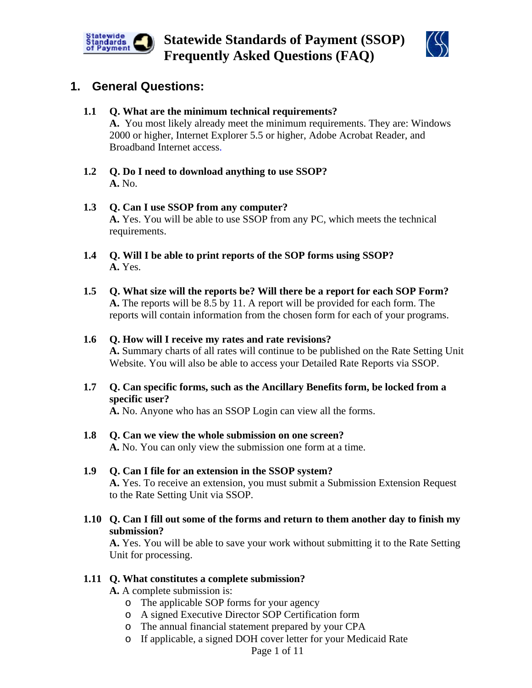



## **1. General Questions:**

### **1.1 Q. What are the minimum technical requirements?**

**A.** You most likely already meet the minimum requirements. They are: Windows 2000 or higher, Internet Explorer 5.5 or higher, Adobe Acrobat Reader, and Broadband Internet access.

**1.2 Q. Do I need to download anything to use SSOP? A.** No.

#### **1.3 Q. Can I use SSOP from any computer? A.** Yes. You will be able to use SSOP from any PC, which meets the technical requirements.

- **1.4 Q. Will I be able to print reports of the SOP forms using SSOP? A.** Yes.
- **1.5 Q. What size will the reports be? Will there be a report for each SOP Form? A.** The reports will be 8.5 by 11. A report will be provided for each form. The reports will contain information from the chosen form for each of your programs.

### **1.6 Q. How will I receive my rates and rate revisions?**

**A.** Summary charts of all rates will continue to be published on the Rate Setting Unit Website. You will also be able to access your Detailed Rate Reports via SSOP.

**1.7 Q. Can specific forms, such as the Ancillary Benefits form, be locked from a specific user?** 

**A.** No. Anyone who has an SSOP Login can view all the forms.

- **1.8 Q. Can we view the whole submission on one screen? A.** No. You can only view the submission one form at a time.
- **1.9 Q. Can I file for an extension in the SSOP system? A.** Yes. To receive an extension, you must submit a Submission Extension Request to the Rate Setting Unit via SSOP.
- **1.10 Q. Can I fill out some of the forms and return to them another day to finish my submission?**

**A.** Yes. You will be able to save your work without submitting it to the Rate Setting Unit for processing.

### **1.11 Q. What constitutes a complete submission?**

**A.** A complete submission is:

- o The applicable SOP forms for your agency
- o A signed Executive Director SOP Certification form
- o The annual financial statement prepared by your CPA
- o If applicable, a signed DOH cover letter for your Medicaid Rate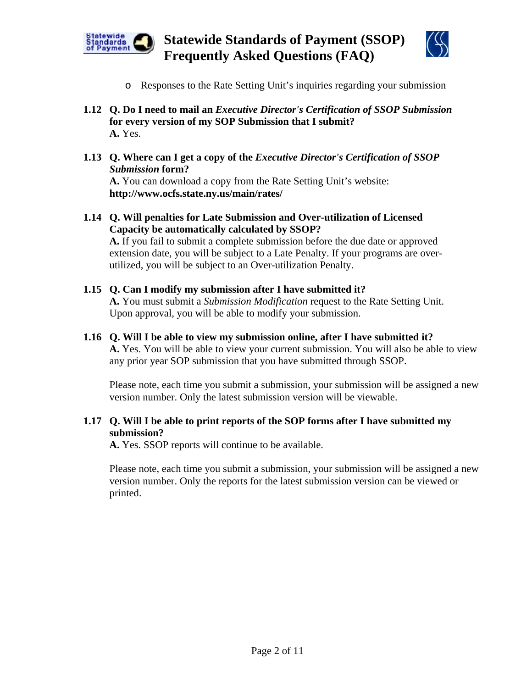



- o Responses to the Rate Setting Unit's inquiries regarding your submission
- **1.12 Q. Do I need to mail an** *Executive Director's Certification of SSOP Submission* **for every version of my SOP Submission that I submit? A.** Yes.
- **1.13 Q. Where can I get a copy of the** *Executive Director's Certification of SSOP Submission* **form?**

**A.** You can download a copy from the Rate Setting Unit's website: **http://www.ocfs.state.ny.us/main/rates/**

**1.14 Q. Will penalties for Late Submission and Over-utilization of Licensed Capacity be automatically calculated by SSOP? A.** If you fail to submit a complete submission before the due date or approved extension date, you will be subject to a Late Penalty. If your programs are over-

utilized, you will be subject to an Over-utilization Penalty. **1.15 Q. Can I modify my submission after I have submitted it?**

**A.** You must submit a *Submission Modification* request to the Rate Setting Unit. Upon approval, you will be able to modify your submission.

**1.16 Q. Will I be able to view my submission online, after I have submitted it? A.** Yes. You will be able to view your current submission. You will also be able to view any prior year SOP submission that you have submitted through SSOP.

Please note, each time you submit a submission, your submission will be assigned a new version number. Only the latest submission version will be viewable.

#### **1.17 Q. Will I be able to print reports of the SOP forms after I have submitted my submission?**

 **A.** Yes. SSOP reports will continue to be available.

Please note, each time you submit a submission, your submission will be assigned a new version number. Only the reports for the latest submission version can be viewed or printed.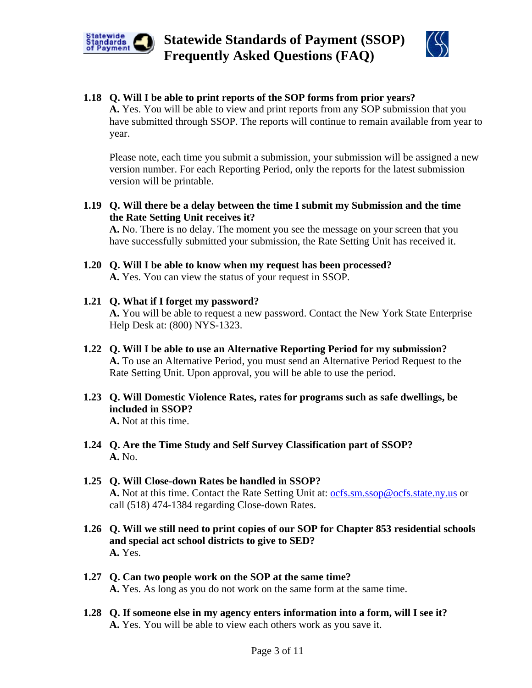



#### **1.18 Q. Will I be able to print reports of the SOP forms from prior years?**

 **A.** Yes. You will be able to view and print reports from any SOP submission that you have submitted through SSOP. The reports will continue to remain available from year to year.

Please note, each time you submit a submission, your submission will be assigned a new version number. For each Reporting Period, only the reports for the latest submission version will be printable.

**1.19 Q. Will there be a delay between the time I submit my Submission and the time the Rate Setting Unit receives it?** 

 **A.** No. There is no delay. The moment you see the message on your screen that you have successfully submitted your submission, the Rate Setting Unit has received it.

- **1.20 Q. Will I be able to know when my request has been processed? A.** Yes. You can view the status of your request in SSOP.
- **1.21 Q. What if I forget my password? A.** You will be able to request a new password. Contact the New York State Enterprise Help Desk at: (800) NYS-1323.
- **1.22 Q. Will I be able to use an Alternative Reporting Period for my submission? A.** To use an Alternative Period, you must send an Alternative Period Request to the Rate Setting Unit. Upon approval, you will be able to use the period.
- **1.23 Q. Will Domestic Violence Rates, rates for programs such as safe dwellings, be included in SSOP? A.** Not at this time.
- **1.24 Q. Are the Time Study and Self Survey Classification part of SSOP? A.** No.
- **1.25 Q. Will Close-down Rates be handled in SSOP? A.** Not at this time. Contact the Rate Setting Unit at: [ocfs.sm.ssop@ocfs.state.ny.us](mailto:ocfs.sm.ssop@ocfs.state.ny.us) or call (518) 474-1384 regarding Close-down Rates.
- **1.26 Q. Will we still need to print copies of our SOP for Chapter 853 residential schools and special act school districts to give to SED? A.** Yes.
- **1.27 Q. Can two people work on the SOP at the same time? A.** Yes. As long as you do not work on the same form at the same time.
- **1.28 Q. If someone else in my agency enters information into a form, will I see it? A.** Yes. You will be able to view each others work as you save it.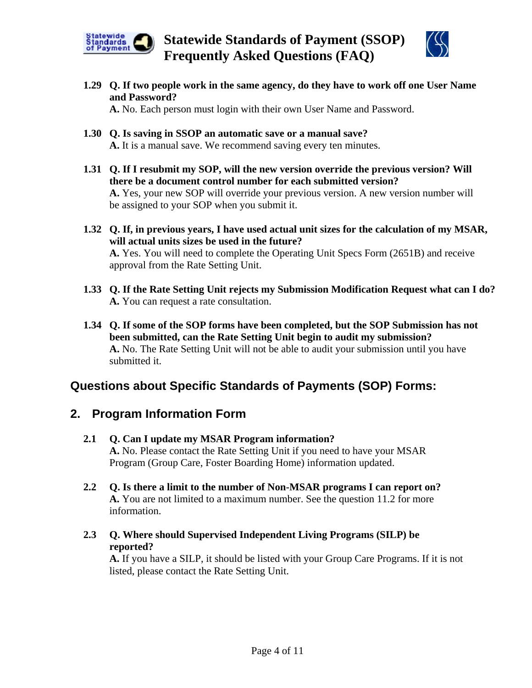



**1.29 Q. If two people work in the same agency, do they have to work off one User Name and Password?** 

**A.** No. Each person must login with their own User Name and Password.

- **1.30 Q. Is saving in SSOP an automatic save or a manual save? A.** It is a manual save. We recommend saving every ten minutes.
- **1.31 Q. If I resubmit my SOP, will the new version override the previous version? Will there be a document control number for each submitted version? A.** Yes, your new SOP will override your previous version. A new version number will be assigned to your SOP when you submit it.
- **1.32 Q. If, in previous years, I have used actual unit sizes for the calculation of my MSAR, will actual units sizes be used in the future? A.** Yes. You will need to complete the Operating Unit Specs Form (2651B) and receive approval from the Rate Setting Unit.
- **1.33 Q. If the Rate Setting Unit rejects my Submission Modification Request what can I do? A.** You can request a rate consultation.
- **1.34 Q. If some of the SOP forms have been completed, but the SOP Submission has not been submitted, can the Rate Setting Unit begin to audit my submission? A.** No. The Rate Setting Unit will not be able to audit your submission until you have submitted it.

## **Questions about Specific Standards of Payments (SOP) Forms:**

## **2. Program Information Form**

- **2.1 Q. Can I update my MSAR Program information? A.** No. Please contact the Rate Setting Unit if you need to have your MSAR Program (Group Care, Foster Boarding Home) information updated.
- **2.2 Q. Is there a limit to the number of Non-MSAR programs I can report on? A.** You are not limited to a maximum number. See the question 11.2 for more information.
- **2.3 Q. Where should Supervised Independent Living Programs (SILP) be reported?**

**A.** If you have a SILP, it should be listed with your Group Care Programs. If it is not listed, please contact the Rate Setting Unit.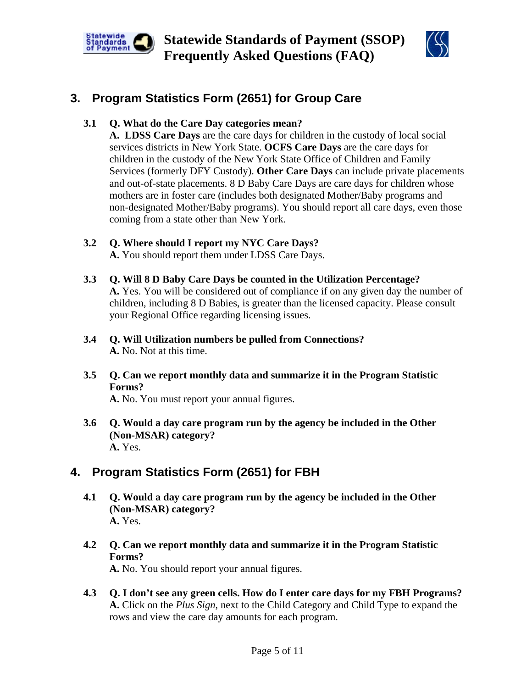



# **3. Program Statistics Form (2651) for Group Care**

**3.1 Q. What do the Care Day categories mean?** 

**A. LDSS Care Days** are the care days for children in the custody of local social services districts in New York State. **OCFS Care Days** are the care days for children in the custody of the New York State Office of Children and Family Services (formerly DFY Custody). **Other Care Days** can include private placements and out-of-state placements. 8 D Baby Care Days are care days for children whose mothers are in foster care (includes both designated Mother/Baby programs and non-designated Mother/Baby programs). You should report all care days, even those coming from a state other than New York.

- **3.2 Q. Where should I report my NYC Care Days? A.** You should report them under LDSS Care Days.
- **3.3 Q. Will 8 D Baby Care Days be counted in the Utilization Percentage? A.** Yes. You will be considered out of compliance if on any given day the number of children, including 8 D Babies, is greater than the licensed capacity. Please consult your Regional Office regarding licensing issues.
- **3.4 Q. Will Utilization numbers be pulled from Connections? A.** No. Not at this time.
- **3.5 Q. Can we report monthly data and summarize it in the Program Statistic Forms?**

**A.** No. You must report your annual figures.

**3.6 Q. Would a day care program run by the agency be included in the Other (Non-MSAR) category? A.** Yes.

# **4. Program Statistics Form (2651) for FBH**

- **4.1 Q. Would a day care program run by the agency be included in the Other (Non-MSAR) category? A.** Yes.
- **4.2 Q. Can we report monthly data and summarize it in the Program Statistic Forms? A.** No. You should report your annual figures.
- **4.3 Q. I don't see any green cells. How do I enter care days for my FBH Programs? A.** Click on the *Plus Sign*, next to the Child Category and Child Type to expand the rows and view the care day amounts for each program.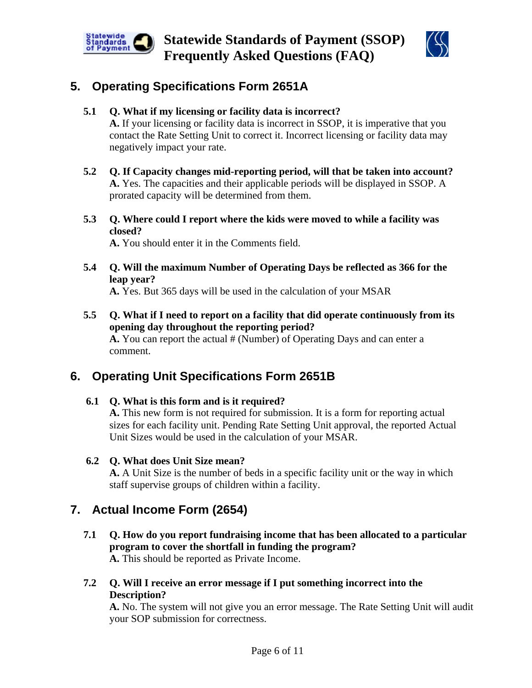



## **5. Operating Specifications Form 2651A**

### **5.1 Q. What if my licensing or facility data is incorrect?**

**A.** If your licensing or facility data is incorrect in SSOP, it is imperative that you contact the Rate Setting Unit to correct it. Incorrect licensing or facility data may negatively impact your rate.

- **5.2 Q. If Capacity changes mid-reporting period, will that be taken into account? A.** Yes. The capacities and their applicable periods will be displayed in SSOP. A prorated capacity will be determined from them.
- **5.3 Q. Where could I report where the kids were moved to while a facility was closed?**

**A.** You should enter it in the Comments field.

**5.4 Q. Will the maximum Number of Operating Days be reflected as 366 for the leap year?** 

**A.** Yes. But 365 days will be used in the calculation of your MSAR

**5.5 Q. What if I need to report on a facility that did operate continuously from its opening day throughout the reporting period? A.** You can report the actual # (Number) of Operating Days and can enter a comment.

# **6. Operating Unit Specifications Form 2651B**

**6.1 Q. What is this form and is it required?** 

**A.** This new form is not required for submission. It is a form for reporting actual sizes for each facility unit. Pending Rate Setting Unit approval, the reported Actual Unit Sizes would be used in the calculation of your MSAR.

**6.2 Q. What does Unit Size mean?** 

**A.** A Unit Size is the number of beds in a specific facility unit or the way in which staff supervise groups of children within a facility.

# **7. Actual Income Form (2654)**

- **7.1 Q. How do you report fundraising income that has been allocated to a particular program to cover the shortfall in funding the program? A.** This should be reported as Private Income.
- **7.2 Q. Will I receive an error message if I put something incorrect into the Description?**

**A.** No. The system will not give you an error message. The Rate Setting Unit will audit your SOP submission for correctness.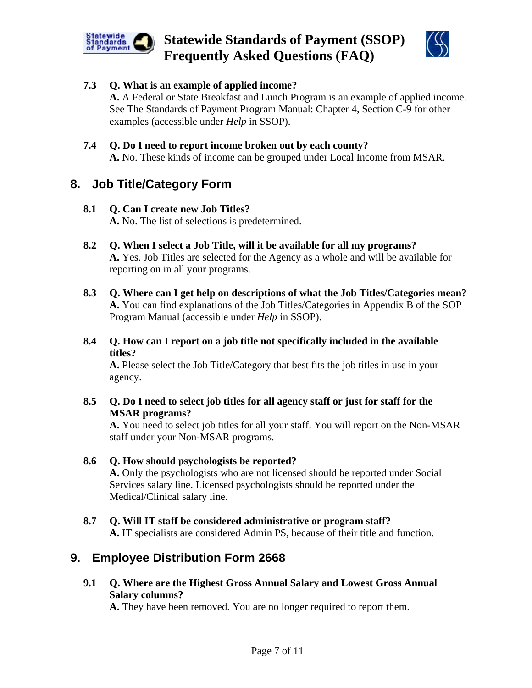



### **7.3 Q. What is an example of applied income?**

**A.** A Federal or State Breakfast and Lunch Program is an example of applied income. See The Standards of Payment Program Manual: Chapter 4, Section C-9 for other examples (accessible under *Help* in SSOP).

### **7.4 Q. Do I need to report income broken out by each county?**

**A.** No. These kinds of income can be grouped under Local Income from MSAR.

## **8. Job Title/Category Form**

#### **8.1 Q. Can I create new Job Titles?**

**A.** No. The list of selections is predetermined.

- **8.2 Q. When I select a Job Title, will it be available for all my programs? A.** Yes. Job Titles are selected for the Agency as a whole and will be available for reporting on in all your programs.
- **8.3 Q. Where can I get help on descriptions of what the Job Titles/Categories mean? A.** You can find explanations of the Job Titles/Categories in Appendix B of the SOP Program Manual (accessible under *Help* in SSOP).
- **8.4 Q. How can I report on a job title not specifically included in the available titles?**

**A.** Please select the Job Title/Category that best fits the job titles in use in your agency.

**8.5 Q. Do I need to select job titles for all agency staff or just for staff for the MSAR programs?** 

**A.** You need to select job titles for all your staff. You will report on the Non-MSAR staff under your Non-MSAR programs.

#### **8.6 Q. How should psychologists be reported? A.** Only the psychologists who are not licensed should be reported under Social Services salary line. Licensed psychologists should be reported under the Medical/Clinical salary line.

**8.7 Q. Will IT staff be considered administrative or program staff? A.** IT specialists are considered Admin PS, because of their title and function.

## **9. Employee Distribution Form 2668**

**9.1 Q. Where are the Highest Gross Annual Salary and Lowest Gross Annual Salary columns?** 

**A.** They have been removed. You are no longer required to report them.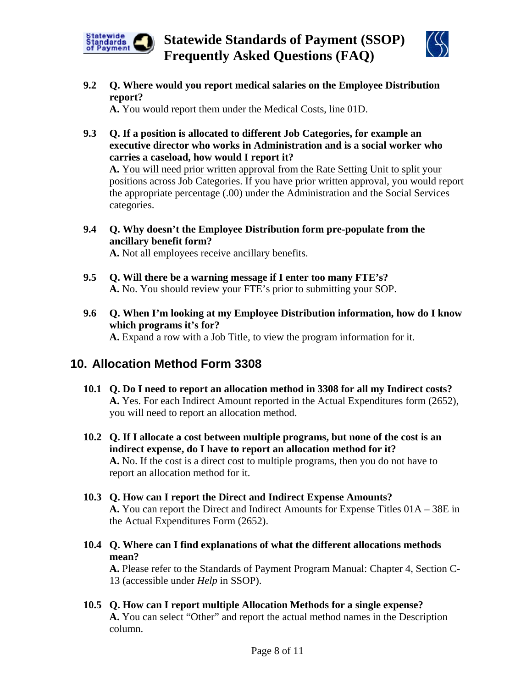**Statewide Standards of Payment (SSOP) Frequently Asked Questions (FAQ)** 



**9.2 Q. Where would you report medical salaries on the Employee Distribution report?** 

**A.** You would report them under the Medical Costs, line 01D.

**9.3 Q. If a position is allocated to different Job Categories, for example an executive director who works in Administration and is a social worker who carries a caseload, how would I report it?** 

**A.** You will need prior written approval from the Rate Setting Unit to split your positions across Job Categories. If you have prior written approval, you would report the appropriate percentage (.00) under the Administration and the Social Services categories.

**9.4 Q. Why doesn't the Employee Distribution form pre-populate from the ancillary benefit form?** 

**A.** Not all employees receive ancillary benefits.

- **9.5 Q. Will there be a warning message if I enter too many FTE's? A.** No. You should review your FTE's prior to submitting your SOP.
- **9.6 Q. When I'm looking at my Employee Distribution information, how do I know which programs it's for? A.** Expand a row with a Job Title, to view the program information for it.

## **10. Allocation Method Form 3308**

Statewide<br>Standards<br>of Payment

- **10.1 Q. Do I need to report an allocation method in 3308 for all my Indirect costs? A.** Yes. For each Indirect Amount reported in the Actual Expenditures form (2652), you will need to report an allocation method.
- **10.2 Q. If I allocate a cost between multiple programs, but none of the cost is an indirect expense, do I have to report an allocation method for it? A.** No. If the cost is a direct cost to multiple programs, then you do not have to report an allocation method for it.
- **10.3 Q. How can I report the Direct and Indirect Expense Amounts? A.** You can report the Direct and Indirect Amounts for Expense Titles 01A – 38E in the Actual Expenditures Form (2652).
- **10.4 Q. Where can I find explanations of what the different allocations methods mean?**

**A.** Please refer to the Standards of Payment Program Manual: Chapter 4, Section C-13 (accessible under *Help* in SSOP).

**10.5 Q. How can I report multiple Allocation Methods for a single expense? A.** You can select "Other" and report the actual method names in the Description column.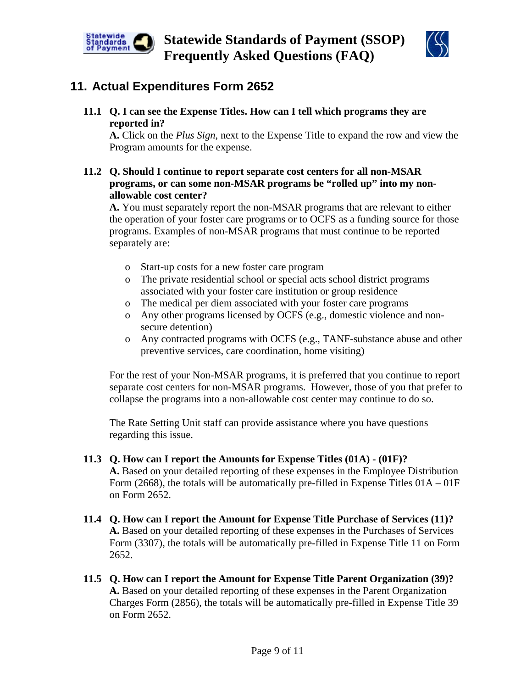



## **11. Actual Expenditures Form 2652**

**11.1 Q. I can see the Expense Titles. How can I tell which programs they are reported in?**

**A.** Click on the *Plus Sign*, next to the Expense Title to expand the row and view the Program amounts for the expense.

**11.2 Q. Should I continue to report separate cost centers for all non-MSAR programs, or can some non-MSAR programs be "rolled up" into my nonallowable cost center?**

 **A.** You must separately report the non-MSAR programs that are relevant to either the operation of your foster care programs or to OCFS as a funding source for those programs. Examples of non-MSAR programs that must continue to be reported separately are:

- o Start-up costs for a new foster care program
- o The private residential school or special acts school district programs associated with your foster care institution or group residence
- o The medical per diem associated with your foster care programs
- o Any other programs licensed by OCFS (e.g., domestic violence and nonsecure detention)
- o Any contracted programs with OCFS (e.g., TANF-substance abuse and other preventive services, care coordination, home visiting)

For the rest of your Non-MSAR programs, it is preferred that you continue to report separate cost centers for non-MSAR programs. However, those of you that prefer to collapse the programs into a non-allowable cost center may continue to do so.

The Rate Setting Unit staff can provide assistance where you have questions regarding this issue.

- **11.3 Q. How can I report the Amounts for Expense Titles (01A) (01F)? A.** Based on your detailed reporting of these expenses in the Employee Distribution Form (2668), the totals will be automatically pre-filled in Expense Titles  $01A - 01F$ on Form 2652.
- **11.4 Q. How can I report the Amount for Expense Title Purchase of Services (11)? A.** Based on your detailed reporting of these expenses in the Purchases of Services Form (3307), the totals will be automatically pre-filled in Expense Title 11 on Form 2652.
- **11.5 Q. How can I report the Amount for Expense Title Parent Organization (39)? A.** Based on your detailed reporting of these expenses in the Parent Organization Charges Form (2856), the totals will be automatically pre-filled in Expense Title 39 on Form 2652.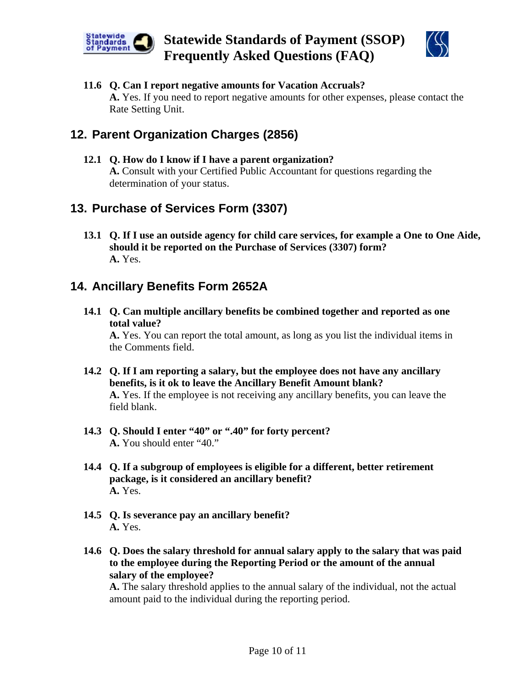



### **11.6 Q. Can I report negative amounts for Vacation Accruals? A.** Yes. If you need to report negative amounts for other expenses, please contact the Rate Setting Unit.

# **12. Parent Organization Charges (2856)**

**12.1 Q. How do I know if I have a parent organization? A.** Consult with your Certified Public Accountant for questions regarding the determination of your status.

## **13. Purchase of Services Form (3307)**

**13.1 Q. If I use an outside agency for child care services, for example a One to One Aide, should it be reported on the Purchase of Services (3307) form? A.** Yes.

## **14. Ancillary Benefits Form 2652A**

**14.1 Q. Can multiple ancillary benefits be combined together and reported as one total value?** 

**A.** Yes. You can report the total amount, as long as you list the individual items in the Comments field.

- **14.2 Q. If I am reporting a salary, but the employee does not have any ancillary benefits, is it ok to leave the Ancillary Benefit Amount blank? A.** Yes. If the employee is not receiving any ancillary benefits, you can leave the field blank.
- **14.3 Q. Should I enter "40" or ".40" for forty percent? A.** You should enter "40."
- **14.4 Q. If a subgroup of employees is eligible for a different, better retirement package, is it considered an ancillary benefit? A.** Yes.
- **14.5 Q. Is severance pay an ancillary benefit? A.** Yes.
- **14.6 Q. Does the salary threshold for annual salary apply to the salary that was paid to the employee during the Reporting Period or the amount of the annual salary of the employee?**

**A.** The salary threshold applies to the annual salary of the individual, not the actual amount paid to the individual during the reporting period.